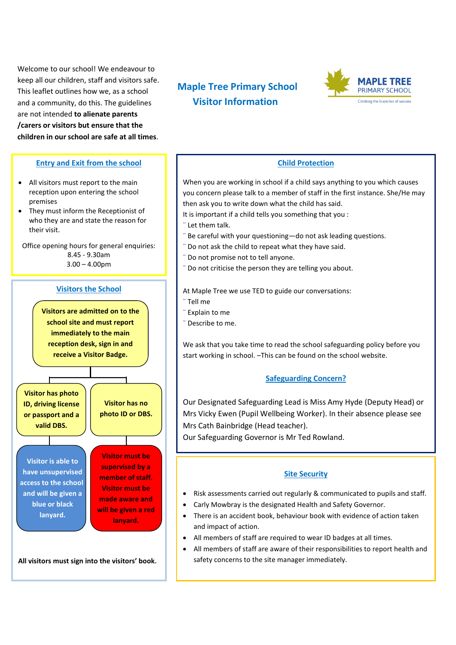and a community, do this. The guidelines **Visitor Information** Welcome to our school! We endeavour to keep all our children, staff and visitors safe. This leaflet outlines how we, as a school are not intended **to alienate parents /carers or visitors but ensure that the children in our school are safe at all times**.

## **Entry and Exit from the school**

- All visitors must report to the main reception upon entering the school premises
- They must inform the Receptionist of who they are and state the reason for their visit.

Office opening hours for general enquiries: 8.45 - 9.30am  $3.00 - 4.00$ pm

# **Visitors the School**

**Visitors are admitted on to the school site and must report immediately to the main reception desk, sign in and receive a Visitor Badge.**

**Visitor has photo ID, driving license or passport and a valid DBS.**

**Visitor has no photo ID or DBS.**

**Visitor is able to have unsupervised access to the school and will be given a blue or black lanyard.**

**Visitor must be supervised by a member of staff. Visitor must be made aware and will be given a red lanyard.**

**All visitors must sign into the visitors' book.**

# **Maple Tree Primary School**



## **Child Protection**

When you are working in school if a child says anything to you which causes you concern please talk to a member of staff in the first instance. She/He may then ask you to write down what the child has said.

- It is important if a child tells you something that you :
- ¨ Let them talk.
- ¨ Be careful with your questioning—do not ask leading questions.
- ¨ Do not ask the child to repeat what they have said.
- ¨ Do not promise not to tell anyone.
- ¨ Do not criticise the person they are telling you about.

At Maple Tree we use TED to guide our conversations:

- ¨ Tell me
- ¨ Explain to me
- ¨ Describe to me.

We ask that you take time to read the school safeguarding policy before you start working in school. –This can be found on the school website.

# **Safeguarding Concern?**

Our Designated Safeguarding Lead is Miss Amy Hyde (Deputy Head) or Mrs Vicky Ewen (Pupil Wellbeing Worker). In their absence please see Mrs Cath Bainbridge (Head teacher).

Our Safeguarding Governor is Mr Ted Rowland.

#### **Site Security**

- Risk assessments carried out regularly & communicated to pupils and staff.
- Carly Mowbray is the designated Health and Safety Governor.
- There is an accident book, behaviour book with evidence of action taken and impact of action.
- All members of staff are required to wear ID badges at all times.
- All members of staff are aware of their responsibilities to report health and safety concerns to the site manager immediately.